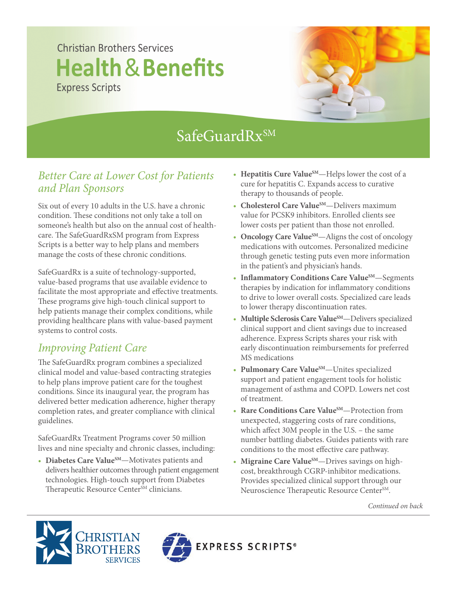## Christian Brothers Services **Health**&**Benefits** Express Scripts



# SafeGuardRxSM

#### *Better Care at Lower Cost for Patients and Plan Sponsors*

Six out of every 10 adults in the U.S. have a chronic condition. These conditions not only take a toll on someone's health but also on the annual cost of healthcare. The SafeGuardRxSM program from Express Scripts is a better way to help plans and members manage the costs of these chronic conditions.

SafeGuardRx is a suite of technology-supported, value-based programs that use available evidence to facilitate the most appropriate and effective treatments. These programs give high-touch clinical support to help patients manage their complex conditions, while providing healthcare plans with value-based payment systems to control costs.

### *Improving Patient Care*

The SafeGuardRx program combines a specialized clinical model and value-based contracting strategies to help plans improve patient care for the toughest conditions. Since its inaugural year, the program has delivered better medication adherence, higher therapy completion rates, and greater compliance with clinical guidelines.

SafeGuardRx Treatment Programs cover 50 million lives and nine specialty and chronic classes, including:

• **Diabetes Care ValueSM**—Motivates patients and delivers healthier outcomes through patient engagement technologies. High-touch support from Diabetes Therapeutic Resource Center<sup>SM</sup> clinicians.

- Hepatitis Cure Value<sup>SM</sup>—Helps lower the cost of a cure for hepatitis C. Expands access to curative therapy to thousands of people.
- Cholesterol Care Value<sup>SM</sup>—Delivers maximum value for PCSK9 inhibitors. Enrolled clients see lower costs per patient than those not enrolled.
- **Oncology Care Value**<sup>SM</sup>—Aligns the cost of oncology medications with outcomes. Personalized medicine through genetic testing puts even more information in the patient's and physician's hands.
- Inflammatory Conditions Care Value<sup>SM</sup>—Segments therapies by indication for inflammatory conditions to drive to lower overall costs. Specialized care leads to lower therapy discontinuation rates.
- Multiple Sclerosis Care Value<sup>SM</sup>—Delivers specialized clinical support and client savings due to increased adherence. Express Scripts shares your risk with early discontinuation reimbursements for preferred MS medications
- Pulmonary Care Value<sup>SM</sup>—Unites specialized support and patient engagement tools for holistic management of asthma and COPD. Lowers net cost of treatment.
- **Rare Conditions Care Value**<sup>SM</sup>—Protection from unexpected, staggering costs of rare conditions, which affect 30M people in the U.S.  $-$  the same number battling diabetes. Guides patients with rare conditions to the most effective care pathway.
- Migraine Care Value<sup>SM</sup>—Drives savings on high cost, breakthrough CGRP-inhibitor medications. Provides specialized clinical support through our Neuroscience Therapeutic Resource Center<sup>SM</sup>.

*Continued on back*